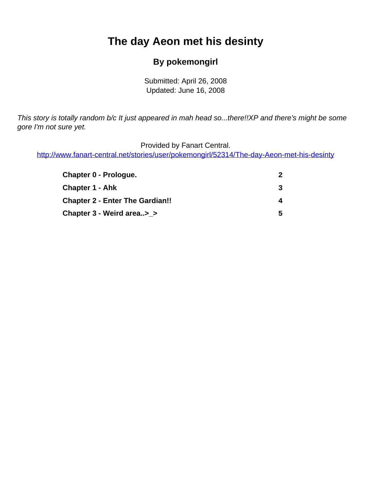# <span id="page-0-0"></span>**The day Aeon met his desinty**

#### **By pokemongirl**

Submitted: April 26, 2008 Updated: June 16, 2008

This story is totally random b/c It just appeared in mah head so...there!!XP and there's might be some gore I'm not sure yet.

Provided by Fanart Central.

[http://www.fanart-central.net/stories/user/pokemongirl/52314/The-day-Aeon-met-his-desinty](#page-0-0)

| <b>Chapter 0 - Prologue.</b>           | $\mathbf{Z}$ |
|----------------------------------------|--------------|
| Chapter 1 - Ahk                        | 3            |
| <b>Chapter 2 - Enter The Gardian!!</b> | 4            |
| Chapter 3 - Weird area> >              | 5.           |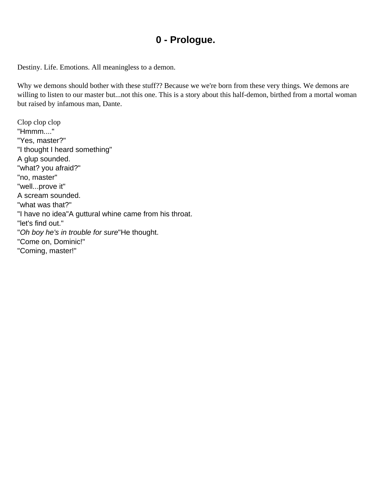#### **0 - Prologue.**

<span id="page-1-0"></span>Destiny. Life. Emotions. All meaningless to a demon.

Why we demons should bother with these stuff?? Because we we're born from these very things. We demons are willing to listen to our master but...not this one. This is a story about this half-demon, birthed from a mortal woman but raised by infamous man, Dante.

Clop clop clop "Hmmm...." "Yes, master?" "I thought I heard something" A glup sounded. "what? you afraid?" "no, master" "well...prove it" A scream sounded. "what was that?" "I have no idea"A guttural whine came from his throat. "let's find out." "Oh boy he's in trouble for sure"He thought. "Come on, Dominic!" "Coming, master!"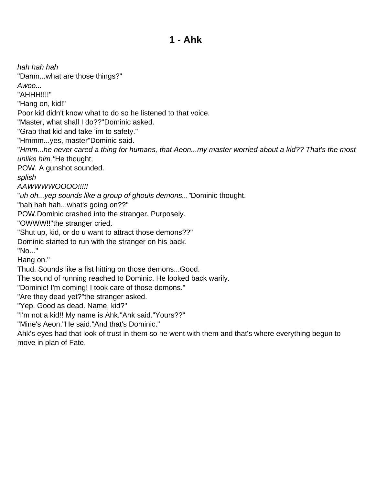#### **1 - Ahk**

<span id="page-2-0"></span>hah hah hah "Damn...what are those things?" Awoo... "AHHH!!!!" "Hang on, kid!" Poor kid didn't know what to do so he listened to that voice. "Master, what shall I do??"Dominic asked. "Grab that kid and take 'im to safety." "Hmmm...yes, master"Dominic said. "Hmm...he never cared a thing for humans, that Aeon...my master worried about a kid?? That's the most unlike him."He thought. POW. A gunshot sounded. splish AAWWWWOOOO!!!!! "uh oh...yep sounds like a group of ghouls demons..."Dominic thought. "hah hah hah...what's going on??" POW.Dominic crashed into the stranger. Purposely. "OWWW!!"the stranger cried. "Shut up, kid, or do u want to attract those demons??" Dominic started to run with the stranger on his back. "No..." Hang on." Thud. Sounds like a fist hitting on those demons...Good. The sound of running reached to Dominic. He looked back warily. "Dominic! I'm coming! I took care of those demons." "Are they dead yet?"the stranger asked. "Yep. Good as dead. Name, kid?" "I'm not a kid!! My name is Ahk."Ahk said."Yours??" "Mine's Aeon."He said."And that's Dominic." Ahk's eyes had that look of trust in them so he went with them and that's where everything begun to

move in plan of Fate.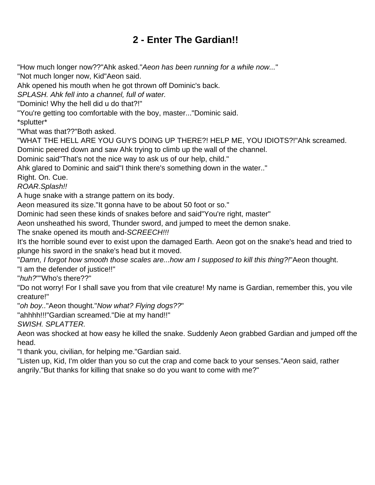## **2 - Enter The Gardian!!**

<span id="page-3-0"></span>"How much longer now??"Ahk asked."Aeon has been running for a while now..."

"Not much longer now, Kid"Aeon said.

Ahk opened his mouth when he got thrown off Dominic's back.

SPLASH. Ahk fell into a channel, full of water.

"Dominic! Why the hell did u do that?!"

"You're getting too comfortable with the boy, master..."Dominic said.

\*splutter\*

"What was that??"Both asked.

"WHAT THE HELL ARE YOU GUYS DOING UP THERE?! HELP ME, YOU IDIOTS?!"Ahk screamed. Dominic peered down and saw Ahk trying to climb up the wall of the channel.

Dominic said"That's not the nice way to ask us of our help, child."

Ahk glared to Dominic and said"I think there's something down in the water.."

Right. On. Cue.

ROAR.Splash!!

A huge snake with a strange pattern on its body.

Aeon measured its size."It gonna have to be about 50 foot or so."

Dominic had seen these kinds of snakes before and said"You're right, master"

Aeon unsheathed his sword, Thunder sword, and jumped to meet the demon snake.

The snake opened its mouth and-SCREECH!!!

It's the horrible sound ever to exist upon the damaged Earth. Aeon got on the snake's head and tried to plunge his sword in the snake's head but it moved.

"Damn, I forgot how smooth those scales are...how am I supposed to kill this thing?!"Aeon thought.

"I am the defender of justice!!"

"huh?""Who's there??"

"Do not worry! For I shall save you from that vile creature! My name is Gardian, remember this, you vile creature!"

"oh boy.."Aeon thought."Now what? Flying dogs??"

"ahhhh!!!"Gardian screamed."Die at my hand!!"

SWISH. SPLATTER.

Aeon was shocked at how easy he killed the snake. Suddenly Aeon grabbed Gardian and jumped off the head.

"I thank you, civilian, for helping me."Gardian said.

"Listen up, Kid, I'm older than you so cut the crap and come back to your senses."Aeon said, rather angrily."But thanks for killing that snake so do you want to come with me?"